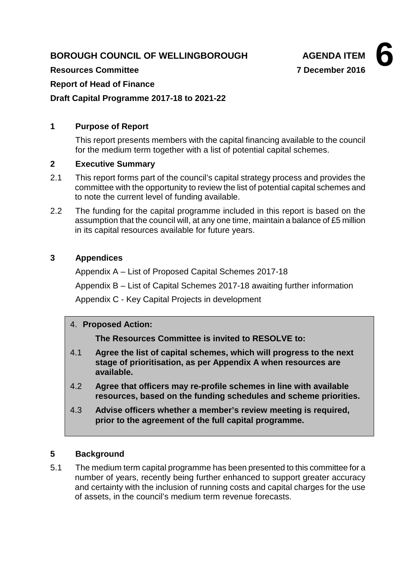# **BOROUGH COUNCIL OF WELLINGBOROUGH AGENDA ITEM**



**Resources Committee 7 December 2016**

### **Report of Head of Finance**

**Draft Capital Programme 2017-18 to 2021-22**

### **1 Purpose of Report**

This report presents members with the capital financing available to the council for the medium term together with a list of potential capital schemes.

#### **2 Executive Summary**

- 2.1 This report forms part of the council's capital strategy process and provides the committee with the opportunity to review the list of potential capital schemes and to note the current level of funding available.
- 2.2 The funding for the capital programme included in this report is based on the assumption that the council will, at any one time, maintain a balance of £5 million in its capital resources available for future years.

### **3 Appendices**

Appendix A – List of Proposed Capital Schemes 2017-18

Appendix B – List of Capital Schemes 2017-18 awaiting further information

Appendix C - Key Capital Projects in development

#### 4. **Proposed Action:**

**The Resources Committee is invited to RESOLVE to:**

- 4.1 **Agree the list of capital schemes, which will progress to the next stage of prioritisation, as per Appendix A when resources are available.**
- 4.2 **Agree that officers may re-profile schemes in line with available resources, based on the funding schedules and scheme priorities.**
- 4.3 **Advise officers whether a member's review meeting is required, prior to the agreement of the full capital programme.**

# **5 Background**

5.1 The medium term capital programme has been presented to this committee for a number of years, recently being further enhanced to support greater accuracy and certainty with the inclusion of running costs and capital charges for the use of assets, in the council's medium term revenue forecasts.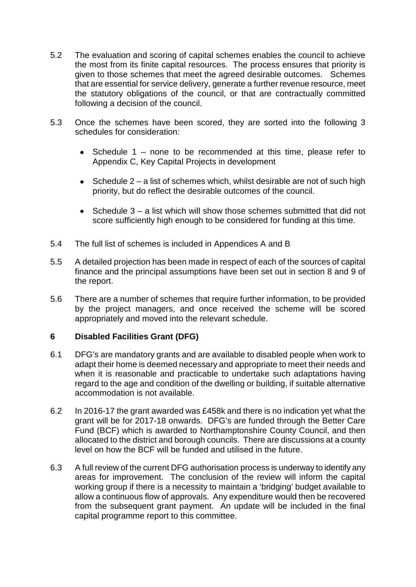- 5.2 The evaluation and scoring of capital schemes enables the council to achieve the most from its finite capital resources. The process ensures that priority is given to those schemes that meet the agreed desirable outcomes. Schemes that are essential for service delivery, generate a further revenue resource, meet the statutory obligations of the council, or that are contractually committed following a decision of the council.
- 5.3 Once the schemes have been scored, they are sorted into the following 3 schedules for consideration:
	- Schedule 1 none to be recommended at this time, please refer to Appendix C, Key Capital Projects in development
	- Schedule  $2 a$  list of schemes which, whilst desirable are not of such high priority, but do reflect the desirable outcomes of the council.
	- Schedule  $3 a$  list which will show those schemes submitted that did not score sufficiently high enough to be considered for funding at this time.
- 5.4 The full list of schemes is included in Appendices A and B
- 5.5 A detailed projection has been made in respect of each of the sources of capital finance and the principal assumptions have been set out in section 8 and 9 of the report.
- 5.6 There are a number of schemes that require further information, to be provided by the project managers, and once received the scheme will be scored appropriately and moved into the relevant schedule.

#### **6 Disabled Facilities Grant (DFG)**

- 6.1 DFG's are mandatory grants and are available to disabled people when work to adapt their home is deemed necessary and appropriate to meet their needs and when it is reasonable and practicable to undertake such adaptations having regard to the age and condition of the dwelling or building, if suitable alternative accommodation is not available.
- 6.2 In 2016-17 the grant awarded was £458k and there is no indication yet what the grant will be for 2017-18 onwards. DFG's are funded through the Better Care Fund (BCF) which is awarded to Northamptonshire County Council, and then allocated to the district and borough councils. There are discussions at a county level on how the BCF will be funded and utilised in the future.
- 6.3 A full review of the current DFG authorisation process is underway to identify any areas for improvement. The conclusion of the review will inform the capital working group if there is a necessity to maintain a 'bridging' budget available to allow a continuous flow of approvals. Any expenditure would then be recovered from the subsequent grant payment. An update will be included in the final capital programme report to this committee.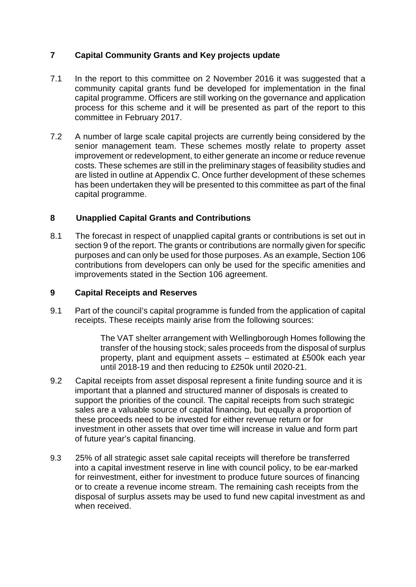# **7 Capital Community Grants and Key projects update**

- 7.1 In the report to this committee on 2 November 2016 it was suggested that a community capital grants fund be developed for implementation in the final capital programme. Officers are still working on the governance and application process for this scheme and it will be presented as part of the report to this committee in February 2017.
- 7.2 A number of large scale capital projects are currently being considered by the senior management team. These schemes mostly relate to property asset improvement or redevelopment, to either generate an income or reduce revenue costs. These schemes are still in the preliminary stages of feasibility studies and are listed in outline at Appendix C. Once further development of these schemes has been undertaken they will be presented to this committee as part of the final capital programme.

# **8 Unapplied Capital Grants and Contributions**

8.1 The forecast in respect of unapplied capital grants or contributions is set out in section 9 of the report. The grants or contributions are normally given for specific purposes and can only be used for those purposes. As an example, Section 106 contributions from developers can only be used for the specific amenities and improvements stated in the Section 106 agreement.

### **9 Capital Receipts and Reserves**

9.1 Part of the council's capital programme is funded from the application of capital receipts. These receipts mainly arise from the following sources:

> The VAT shelter arrangement with Wellingborough Homes following the transfer of the housing stock; sales proceeds from the disposal of surplus property, plant and equipment assets – estimated at £500k each year until 2018-19 and then reducing to £250k until 2020-21.

- 9.2 Capital receipts from asset disposal represent a finite funding source and it is important that a planned and structured manner of disposals is created to support the priorities of the council. The capital receipts from such strategic sales are a valuable source of capital financing, but equally a proportion of these proceeds need to be invested for either revenue return or for investment in other assets that over time will increase in value and form part of future year's capital financing.
- 9.3 25% of all strategic asset sale capital receipts will therefore be transferred into a capital investment reserve in line with council policy, to be ear-marked for reinvestment, either for investment to produce future sources of financing or to create a revenue income stream. The remaining cash receipts from the disposal of surplus assets may be used to fund new capital investment as and when received.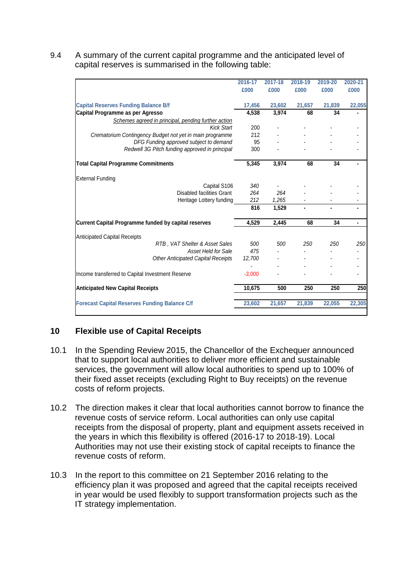9.4 A summary of the current capital programme and the anticipated level of capital reserves is summarised in the following table:

|                                                             | 2016-17  | 2017-18 | 2018-19 | 2019-20 | 2020-21                  |
|-------------------------------------------------------------|----------|---------|---------|---------|--------------------------|
|                                                             | £000     | £000    | £000    | £000    | £000                     |
| <b>Capital Reserves Funding Balance B/f</b>                 | 17,456   | 23,602  | 21,657  | 21,839  | 22,055                   |
| Capital Programme as per Agresso                            | 4,538    | 3,974   | 68      | 34      |                          |
| Schemes agreed in principal, pending further action         |          |         |         |         |                          |
| <b>Kick Start</b>                                           | 200      |         |         |         |                          |
| Crematorium Contingency Budget not yet in main programme    | 212      |         |         |         |                          |
| DFG Funding approved subject to demand                      | 95       |         |         |         |                          |
| Redwell 3G Pitch funding approved in principal              | 300      |         |         |         |                          |
| <b>Total Capital Programme Commitments</b>                  | 5,345    | 3,974   | 68      | 34      |                          |
| <b>External Funding</b>                                     |          |         |         |         |                          |
| Capital S106                                                | 340      |         |         |         |                          |
| <b>Disabled facilities Grant</b>                            | 264      | 264     |         |         |                          |
| Heritage Lottery funding                                    | 212      | 1,265   |         |         |                          |
|                                                             | 816      | 1,529   |         |         |                          |
| <b>Current Capital Programme funded by capital reserves</b> | 4,529    | 2,445   | 68      | 34      |                          |
| <b>Anticipated Capital Receipts</b>                         |          |         |         |         |                          |
| RTB, VAT Shelter & Asset Sales                              | 500      | 500     | 250     | 250     | 250                      |
| Asset Held for Sale                                         | 475      |         |         |         |                          |
| <b>Other Anticipated Capital Receipts</b>                   | 12,700   |         |         |         |                          |
|                                                             |          |         |         |         |                          |
| Income transferred to Capital Investment Reserve            | $-3,000$ |         |         |         | $\overline{\phantom{a}}$ |
| <b>Anticipated New Capital Receipts</b>                     | 10,675   | 500     | 250     | 250     | 250                      |
| <b>Forecast Capital Reserves Funding Balance C/f</b>        | 23,602   | 21,657  | 21,839  | 22,055  | 22,305                   |

# **10 Flexible use of Capital Receipts**

- 10.1 In the Spending Review 2015, the Chancellor of the Exchequer announced that to support local authorities to deliver more efficient and sustainable services, the government will allow local authorities to spend up to 100% of their fixed asset receipts (excluding Right to Buy receipts) on the revenue costs of reform projects.
- 10.2 The direction makes it clear that local authorities cannot borrow to finance the revenue costs of service reform. Local authorities can only use capital receipts from the disposal of property, plant and equipment assets received in the years in which this flexibility is offered (2016-17 to 2018-19). Local Authorities may not use their existing stock of capital receipts to finance the revenue costs of reform.
- 10.3 In the report to this committee on 21 September 2016 relating to the efficiency plan it was proposed and agreed that the capital receipts received in year would be used flexibly to support transformation projects such as the IT strategy implementation.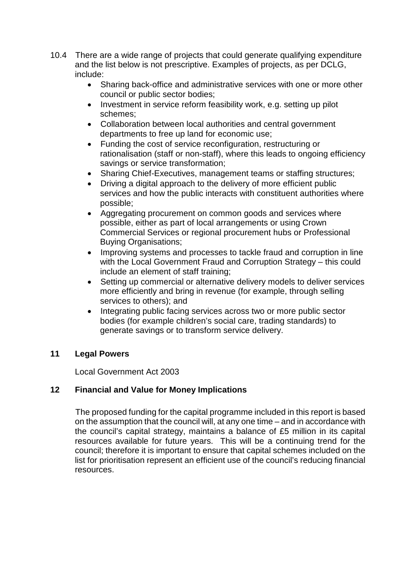- 10.4 There are a wide range of projects that could generate qualifying expenditure and the list below is not prescriptive. Examples of projects, as per DCLG, include:
	- Sharing back-office and administrative services with one or more other council or public sector bodies;
	- Investment in service reform feasibility work, e.g. setting up pilot schemes;
	- Collaboration between local authorities and central government departments to free up land for economic use;
	- Funding the cost of service reconfiguration, restructuring or rationalisation (staff or non-staff), where this leads to ongoing efficiency savings or service transformation;
	- Sharing Chief-Executives, management teams or staffing structures;
	- Driving a digital approach to the delivery of more efficient public services and how the public interacts with constituent authorities where possible;
	- Aggregating procurement on common goods and services where possible, either as part of local arrangements or using Crown Commercial Services or regional procurement hubs or Professional Buying Organisations;
	- Improving systems and processes to tackle fraud and corruption in line with the Local Government Fraud and Corruption Strategy – this could include an element of staff training;
	- Setting up commercial or alternative delivery models to deliver services more efficiently and bring in revenue (for example, through selling services to others); and
	- Integrating public facing services across two or more public sector bodies (for example children's social care, trading standards) to generate savings or to transform service delivery.

# **11 Legal Powers**

Local Government Act 2003

# **12 Financial and Value for Money Implications**

The proposed funding for the capital programme included in this report is based on the assumption that the council will, at any one time – and in accordance with the council's capital strategy, maintains a balance of £5 million in its capital resources available for future years. This will be a continuing trend for the council; therefore it is important to ensure that capital schemes included on the list for prioritisation represent an efficient use of the council's reducing financial resources.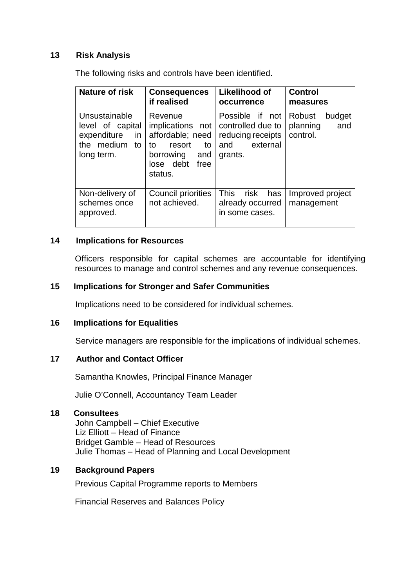#### **13 Risk Analysis**

The following risks and controls have been identified.

| Nature of risk                                                                           | <b>Consequences</b><br>if realised                                                                                        | <b>Likelihood of</b><br>occurrence                                                      | <b>Control</b><br>measures                      |
|------------------------------------------------------------------------------------------|---------------------------------------------------------------------------------------------------------------------------|-----------------------------------------------------------------------------------------|-------------------------------------------------|
| Unsustainable<br>level of capital<br>expenditure<br>in<br>the medium<br>to<br>long term. | Revenue<br>implications not<br>affordable; need<br>resort<br>to<br>to<br>borrowing<br>and<br>lose debt<br>free<br>status. | Possible if not<br>controlled due to<br>reducing receipts<br>external<br>and<br>grants. | Robust<br>budget<br>and<br>planning<br>control. |
| Non-delivery of<br>schemes once<br>approved.                                             | Council priorities<br>not achieved.                                                                                       | <b>This</b><br>risk<br>has<br>already occurred<br>in some cases.                        | Improved project<br>management                  |

#### **14 Implications for Resources**

Officers responsible for capital schemes are accountable for identifying resources to manage and control schemes and any revenue consequences.

#### **15 Implications for Stronger and Safer Communities**

Implications need to be considered for individual schemes.

#### **16 Implications for Equalities**

Service managers are responsible for the implications of individual schemes.

#### **17 Author and Contact Officer**

Samantha Knowles, Principal Finance Manager

Julie O'Connell, Accountancy Team Leader

#### **18 Consultees**

John Campbell – Chief Executive Liz Elliott – Head of Finance Bridget Gamble – Head of Resources Julie Thomas – Head of Planning and Local Development

#### **19 Background Papers**

Previous Capital Programme reports to Members

Financial Reserves and Balances Policy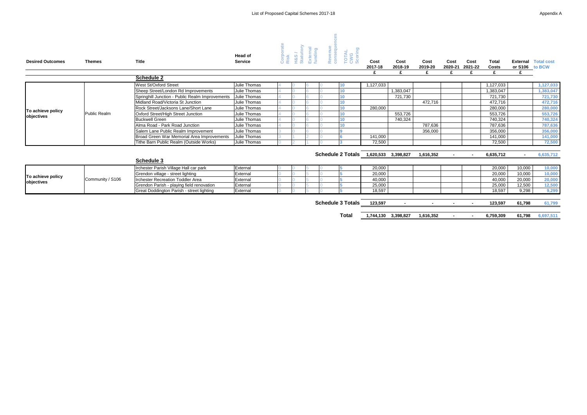| <b>Desired Outcomes</b> | <b>Themes</b> | <b>Title</b> | <b>Head of</b><br><b>Service</b> | -<br>-<br><b>.</b><br>ี ≃ื่ ∞ี<br>$\cdot$<br>≐<br>ັ<br>$\sim$<br>ن مد<br>ш | ∼<br>$\mathbf{e}$<br>◡<br>ပေဖ<br>_ | Cost<br>2017-18 | Cost<br>2018-19 | Cost<br>2019-20 |  |
|-------------------------|---------------|--------------|----------------------------------|----------------------------------------------------------------------------|------------------------------------|-----------------|-----------------|-----------------|--|
|                         |               |              |                                  | ت<br>$\overline{\mathbf{c}}$<br><u>ත </u>                                  | <b>Contract</b><br>┙<br>►          | <u>ත</u>        |                 |                 |  |

| Cost<br>2017-18 | Cost<br>2018-19 | Cost<br>2019-20 | Cost<br>2020-21 | Cost<br>2021-22 | <b>Total</b><br>Costs | <b>External</b><br>or S106 | <b>Total cost</b><br>to BCW |
|-----------------|-----------------|-----------------|-----------------|-----------------|-----------------------|----------------------------|-----------------------------|
| £               | £               | £               | £               | £               | £                     | £                          |                             |
|                 |                 |                 |                 |                 |                       |                            |                             |
| 1,127,033       |                 |                 |                 |                 | 1,127,033             |                            | 1,127,033                   |
|                 | 1,383,047       |                 |                 |                 | 1,383,047             |                            | 1,383,047                   |
|                 | 721,730         |                 |                 |                 | 721,730               |                            | 721,730                     |
|                 |                 | 472,716         |                 |                 | 472,716               |                            | 472,716                     |
| 280,000         |                 |                 |                 |                 | 280,000               |                            | 280,000                     |
|                 | 553,726         |                 |                 |                 | 553,726               |                            | 553,726                     |
|                 | 740,324         |                 |                 |                 | 740,324               |                            | 740,324                     |
|                 |                 | 787,636         |                 |                 | 787,636               |                            | 787,636                     |
|                 |                 | 356,000         |                 |                 | 356,000               |                            | 356,000                     |
| 141,000         |                 |                 |                 |                 | 141,000               |                            | 141,000                     |
| 72,500          |                 |                 |                 |                 | 72,500                |                            | 72,500                      |
|                 |                 |                 |                 |                 |                       |                            |                             |
| 1,620,533       | 3,398,827       | 1,616,352       |                 |                 | 6,635,712             |                            | 6,635,712                   |
|                 |                 |                 |                 |                 |                       |                            |                             |
| 20,000          |                 |                 |                 |                 | 20,000                | 10,000                     | 10,000                      |
| 20,000          |                 |                 |                 |                 | 20,000                | 10,000                     | 10,000                      |
| 40,000          |                 |                 |                 |                 | 40,000                | 20,000                     | 20,000                      |
| 25,000          |                 |                 |                 |                 | 25,000                | 12,500                     | 12,500                      |
| 18,597          |                 |                 |                 |                 | 18,597                | 9,298                      | 9,299                       |
|                 |                 |                 |                 |                 |                       |                            |                             |
| 123,597         |                 |                 | -               |                 | 123,597               | 61,798                     | 61,799                      |
|                 |                 |                 |                 |                 |                       |                            |                             |
| 1,744,130       | 3,398,827       | 1,616,352       |                 | ٠               | 6,759,309             | 61,798                     | 6,697,511                   |

|                   |                     | <b>Schedule 2</b>                                            |              |  |  |           |           |         |           |        |           |
|-------------------|---------------------|--------------------------------------------------------------|--------------|--|--|-----------|-----------|---------|-----------|--------|-----------|
|                   |                     | West St/Oxford Street                                        | Julie Thomas |  |  | 1.127.033 |           |         | 1,127,033 |        | 1,127,033 |
|                   |                     | Sheep Street/London Rd Improvements                          | Julie Thomas |  |  |           | 1,383,047 |         | 1,383,047 |        | 1,383,047 |
|                   |                     | Springhill Junction - Public Realm Improvements Julie Thomas |              |  |  |           | 721,730   |         | 721.730   |        | 721,730   |
|                   |                     | Midland Road/Victoria St Junction                            | Julie Thomas |  |  |           |           | 472,716 | 472.716   |        | 472,716   |
| To achieve policy |                     | Rock Street/Jacksons Lane/Short Lane                         | Julie Thomas |  |  | 280,000   |           |         | 280,000   |        | 280,000   |
| objectives        | <b>Public Realm</b> | Oxford Street/High Street Junction                           | Julie Thomas |  |  |           | 553,726   |         | 553.726   |        | 553,726   |
|                   |                     | <b>Buckwell Green</b>                                        | Julie Thomas |  |  |           | 740,324   |         | 740.324   |        | 740,324   |
|                   |                     | Alma Road - Park Road Junction                               | Julie Thomas |  |  |           |           | 787,636 | 787,636   |        | 787,636   |
|                   |                     | Salem Lane Public Realm Improvement                          | Julie Thomas |  |  |           |           | 356,000 | 356,000   |        | 356,000   |
|                   |                     | Broad Green War Memorial Area Improvements                   | Julie Thomas |  |  | 141.000   |           |         | 141,000   |        | 141,000   |
|                   |                     | Tithe Barn Public Realm (Outside Works)                      | Julie Thomas |  |  | 72,500    |           |         |           | 72,500 | 72,500    |

# **Schedule 2 Totals** 1,620,533 3,398,827 1,616,352

|            |                   |                                           |                                           |          |  |        | .<br>-------- | .      |        |        | $-1 - 1 - 1 = 1 - 1$ |
|------------|-------------------|-------------------------------------------|-------------------------------------------|----------|--|--------|---------------|--------|--------|--------|----------------------|
|            |                   |                                           | <b>Schedule 3</b>                         |          |  |        |               |        |        |        |                      |
|            |                   | Irchester Parish Village Hall car park    | External                                  |          |  | 20,000 |               | 20,000 | 10,000 | 10,000 |                      |
|            | To achieve policy | Community / S106                          | Grendon village - street lighting         | External |  |        | 20,000        |        | 20,000 | 10,000 | 10,000               |
|            |                   |                                           | <b>Irchester Recreation Toddler Area</b>  | External |  |        | 40,000        |        | 40.00C | 20,000 | 20,000               |
| objectives |                   | Grendon Parish - playing field renovation | External                                  |          |  | 25,000 |               | 25,000 | 12,500 | 12,500 |                      |
|            |                   |                                           | Great Doddington Parish - street lighting | External |  |        | 18,597        |        | 18,597 | 9,298  | 9,299                |

**Schedule 3 Totals** 123,597 - 123,598

**Total 1,744,130 3,398,827 1,616,352**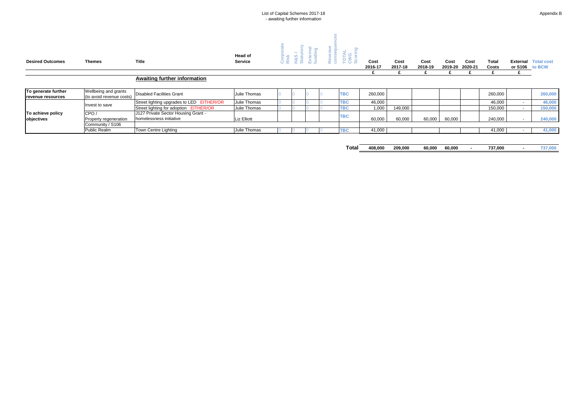|                         |               |              |                           | List of Capital Schemes 2017-18<br>- awaiting further information                          |                                                                                                       |                 |                 |                 |  |
|-------------------------|---------------|--------------|---------------------------|--------------------------------------------------------------------------------------------|-------------------------------------------------------------------------------------------------------|-----------------|-----------------|-----------------|--|
| <b>Desired Outcomes</b> | <b>Themes</b> | <b>Title</b> | Head of<br><b>Service</b> | $\overline{a}$<br>Extern<br>fundin<br>&S<br>Īā<br>∸<br>$\frac{1}{2}$<br>ō<br>-<br>$\alpha$ | פו<br><b>Contract</b><br>∍<br>-<br>ēr<br>$\sim$<br>ഇ<br>Rev<br>یر<br>ō<br>$\sim$<br>ိတ<br>U<br>$\cup$ | Cost<br>2016-17 | Cost<br>2017-18 | Cost<br>2018-19 |  |

| <b>Desired Outcomes</b>  | <b>Themes</b>            | <b>Title</b>                              | <b>Service</b>     |  | <b>OE IN AF</b> | <b>EU FOW</b> | Cost    | Cost    | Cost    | Cost    | Cost    | <b>Total</b> | <b>External Total cost</b> |
|--------------------------|--------------------------|-------------------------------------------|--------------------|--|-----------------|---------------|---------|---------|---------|---------|---------|--------------|----------------------------|
|                          |                          |                                           |                    |  |                 |               | 2016-17 | 2017-18 | 2018-19 | 2019-20 | 2020-21 | <b>Costs</b> | or S106 to BCW             |
|                          |                          |                                           |                    |  |                 |               |         |         |         |         |         |              |                            |
|                          |                          | <b>Awaiting further information</b>       |                    |  |                 |               |         |         |         |         |         |              |                            |
|                          |                          |                                           |                    |  |                 |               |         |         |         |         |         |              |                            |
| To generate further      | Wellbeing and grants     | <b>Disabled Facilities Grant</b>          | Julie Thomas       |  |                 | <b>TBC</b>    | 260,000 |         |         |         |         | 260,000      | 260,000                    |
| <b>revenue resources</b> | (to avoid revenue costs) |                                           |                    |  |                 |               |         |         |         |         |         |              |                            |
|                          | nvest to save            | Street lighting upgrades to LED EITHER/OR | Julie Thomas       |  |                 | <b>TBC</b>    | 46,000  |         |         |         |         | 46,000       | 46,000                     |
|                          |                          | Street lighting for adoption EITHER/OR    | Julie Thomas       |  |                 | <b>TBC</b>    | 1,000   | 149,000 |         |         |         | 150,000      | 150,000                    |
| To achieve policy        | CPO/                     | J127 Private Sector Housing Grant -       |                    |  |                 |               |         |         |         |         |         |              |                            |
| objectives               | Property regeneration    | I homelessness initiative                 | <b>Liz Elliott</b> |  |                 | <b>TBC</b>    | 60,000  | 60,000  | 60,000  | 60,000  |         | 240,000      | 240,000                    |
|                          | Community / S106         |                                           |                    |  |                 |               |         |         |         |         |         |              |                            |
|                          | Public Realm             | <b>Town Centre Lighting</b>               | Julie Thomas       |  |                 | <b>TBC</b>    | 41,000  |         |         |         |         | 41,000       | 41,000                     |
|                          |                          |                                           |                    |  |                 |               |         |         |         |         |         |              |                            |
|                          |                          |                                           |                    |  |                 |               |         |         |         |         |         |              |                            |
|                          |                          |                                           |                    |  |                 | Total         | 408,000 | 209,000 | 60,000  | 60,000  |         | 737,000      | 737,000                    |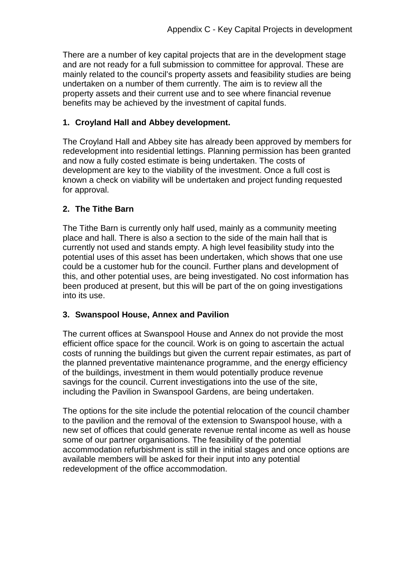There are a number of key capital projects that are in the development stage and are not ready for a full submission to committee for approval. These are mainly related to the council's property assets and feasibility studies are being undertaken on a number of them currently. The aim is to review all the property assets and their current use and to see where financial revenue benefits may be achieved by the investment of capital funds.

# **1. Croyland Hall and Abbey development.**

The Croyland Hall and Abbey site has already been approved by members for redevelopment into residential lettings. Planning permission has been granted and now a fully costed estimate is being undertaken. The costs of development are key to the viability of the investment. Once a full cost is known a check on viability will be undertaken and project funding requested for approval.

# **2. The Tithe Barn**

The Tithe Barn is currently only half used, mainly as a community meeting place and hall. There is also a section to the side of the main hall that is currently not used and stands empty. A high level feasibility study into the potential uses of this asset has been undertaken, which shows that one use could be a customer hub for the council. Further plans and development of this, and other potential uses, are being investigated. No cost information has been produced at present, but this will be part of the on going investigations into its use.

# **3. Swanspool House, Annex and Pavilion**

The current offices at Swanspool House and Annex do not provide the most efficient office space for the council. Work is on going to ascertain the actual costs of running the buildings but given the current repair estimates, as part of the planned preventative maintenance programme, and the energy efficiency of the buildings, investment in them would potentially produce revenue savings for the council. Current investigations into the use of the site, including the Pavilion in Swanspool Gardens, are being undertaken.

The options for the site include the potential relocation of the council chamber to the pavilion and the removal of the extension to Swanspool house, with a new set of offices that could generate revenue rental income as well as house some of our partner organisations. The feasibility of the potential accommodation refurbishment is still in the initial stages and once options are available members will be asked for their input into any potential redevelopment of the office accommodation.